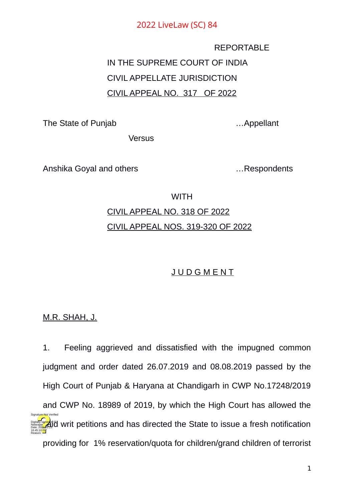REPORTABLE IN THE SUPREME COURT OF INDIA CIVIL APPELLATE JURISDICTION CIVIL APPEAL NO. 317 OF 2022

The State of Punjab **Example 20** The State of Punjab

Versus

Anshika Goyal and others **Example 2018** Manuscript Anshika Goyal and others **Example 2018** 

**WITH** 

# CIVIL APPEAL NO. 318 OF 2022 CIVIL APPEAL NOS. 319-320 OF 2022

## **JUDGMENT**

M.R. SHAH, J.

1. Feeling aggrieved and dissatisfied with the impugned common judgment and order dated 26.07.2019 and 08.08.2019 passed by the High Court of Punjab & Haryana at Chandigarh in CWP No.17248/2019 and CWP No. 18989 of 2019, by which the High Court has allowed the **Digitally sign<mark>ed</mark> and in the state of the State to issue a fresh notification** providing for 1% reservation/quota for children/grand children of terrorist Natarajan Date: 2022.01.25 16:45:10<sup>1ST</sup> Reason: Signature Not Verified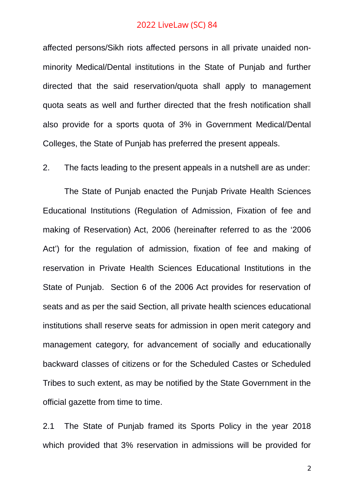affected persons/Sikh riots affected persons in all private unaided nonminority Medical/Dental institutions in the State of Punjab and further directed that the said reservation/quota shall apply to management quota seats as well and further directed that the fresh notification shall also provide for a sports quota of 3% in Government Medical/Dental Colleges, the State of Punjab has preferred the present appeals.

2. The facts leading to the present appeals in a nutshell are as under:

The State of Punjab enacted the Punjab Private Health Sciences Educational Institutions (Regulation of Admission, Fixation of fee and making of Reservation) Act, 2006 (hereinafter referred to as the '2006 Act') for the regulation of admission, fixation of fee and making of reservation in Private Health Sciences Educational Institutions in the State of Punjab. Section 6 of the 2006 Act provides for reservation of seats and as per the said Section, all private health sciences educational institutions shall reserve seats for admission in open merit category and management category, for advancement of socially and educationally backward classes of citizens or for the Scheduled Castes or Scheduled Tribes to such extent, as may be notified by the State Government in the official gazette from time to time.

2.1 The State of Punjab framed its Sports Policy in the year 2018 which provided that 3% reservation in admissions will be provided for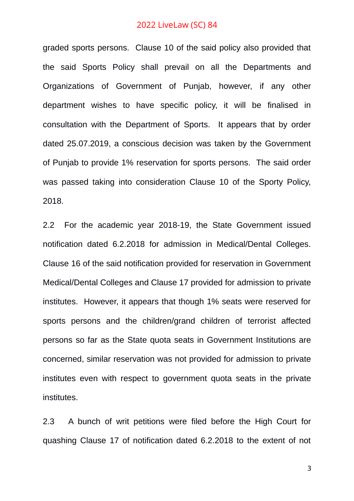graded sports persons. Clause 10 of the said policy also provided that the said Sports Policy shall prevail on all the Departments and Organizations of Government of Punjab, however, if any other department wishes to have specific policy, it will be finalised in consultation with the Department of Sports. It appears that by order dated 25.07.2019, a conscious decision was taken by the Government of Punjab to provide 1% reservation for sports persons. The said order was passed taking into consideration Clause 10 of the Sporty Policy, 2018.

2.2 For the academic year 2018-19, the State Government issued notification dated 6.2.2018 for admission in Medical/Dental Colleges. Clause 16 of the said notification provided for reservation in Government Medical/Dental Colleges and Clause 17 provided for admission to private institutes. However, it appears that though 1% seats were reserved for sports persons and the children/grand children of terrorist affected persons so far as the State quota seats in Government Institutions are concerned, similar reservation was not provided for admission to private institutes even with respect to government quota seats in the private institutes.

2.3 A bunch of writ petitions were filed before the High Court for quashing Clause 17 of notification dated 6.2.2018 to the extent of not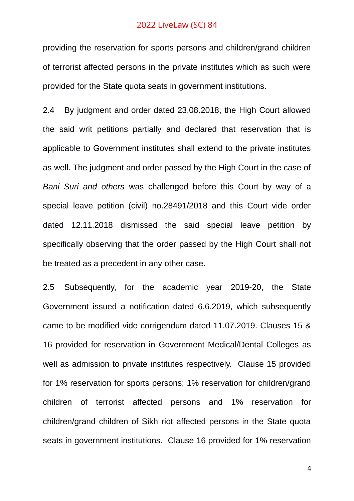providing the reservation for sports persons and children/grand children of terrorist affected persons in the private institutes which as such were provided for the State quota seats in government institutions.

2.4 By judgment and order dated 23.08.2018, the High Court allowed the said writ petitions partially and declared that reservation that is applicable to Government institutes shall extend to the private institutes as well. The judgment and order passed by the High Court in the case of *Bani Suri and others* was challenged before this Court by way of a special leave petition (civil) no.28491/2018 and this Court vide order dated 12.11.2018 dismissed the said special leave petition by specifically observing that the order passed by the High Court shall not be treated as a precedent in any other case.

2.5 Subsequently, for the academic year 2019-20, the State Government issued a notification dated 6.6.2019, which subsequently came to be modified vide corrigendum dated 11.07.2019. Clauses 15 & 16 provided for reservation in Government Medical/Dental Colleges as well as admission to private institutes respectively. Clause 15 provided for 1% reservation for sports persons; 1% reservation for children/grand children of terrorist affected persons and 1% reservation for children/grand children of Sikh riot affected persons in the State quota seats in government institutions. Clause 16 provided for 1% reservation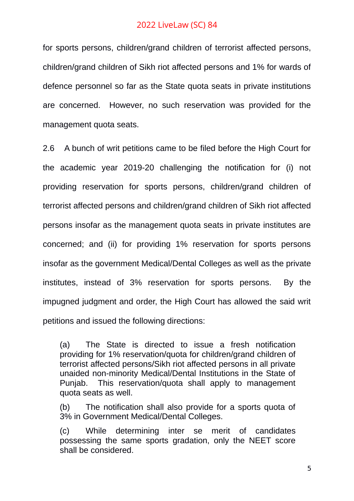for sports persons, children/grand children of terrorist affected persons, children/grand children of Sikh riot affected persons and 1% for wards of defence personnel so far as the State quota seats in private institutions are concerned. However, no such reservation was provided for the management quota seats.

2.6 A bunch of writ petitions came to be filed before the High Court for the academic year 2019-20 challenging the notification for (i) not providing reservation for sports persons, children/grand children of terrorist affected persons and children/grand children of Sikh riot affected persons insofar as the management quota seats in private institutes are concerned; and (ii) for providing 1% reservation for sports persons insofar as the government Medical/Dental Colleges as well as the private institutes, instead of 3% reservation for sports persons. By the impugned judgment and order, the High Court has allowed the said writ petitions and issued the following directions:

(a) The State is directed to issue a fresh notification providing for 1% reservation/quota for children/grand children of terrorist affected persons/Sikh riot affected persons in all private unaided non-minority Medical/Dental Institutions in the State of Punjab. This reservation/quota shall apply to management quota seats as well.

(b) The notification shall also provide for a sports quota of 3% in Government Medical/Dental Colleges.

(c) While determining inter se merit of candidates possessing the same sports gradation, only the NEET score shall be considered.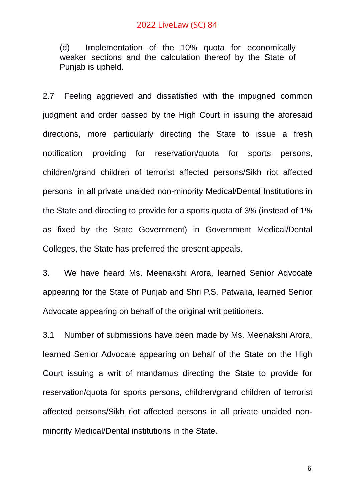(d) Implementation of the 10% quota for economically weaker sections and the calculation thereof by the State of Punjab is upheld.

2.7 Feeling aggrieved and dissatisfied with the impugned common judgment and order passed by the High Court in issuing the aforesaid directions, more particularly directing the State to issue a fresh notification providing for reservation/quota for sports persons, children/grand children of terrorist affected persons/Sikh riot affected persons in all private unaided non-minority Medical/Dental Institutions in the State and directing to provide for a sports quota of 3% (instead of 1% as fixed by the State Government) in Government Medical/Dental Colleges, the State has preferred the present appeals.

3. We have heard Ms. Meenakshi Arora, learned Senior Advocate appearing for the State of Punjab and Shri P.S. Patwalia, learned Senior Advocate appearing on behalf of the original writ petitioners.

3.1 Number of submissions have been made by Ms. Meenakshi Arora, learned Senior Advocate appearing on behalf of the State on the High Court issuing a writ of mandamus directing the State to provide for reservation/quota for sports persons, children/grand children of terrorist affected persons/Sikh riot affected persons in all private unaided nonminority Medical/Dental institutions in the State.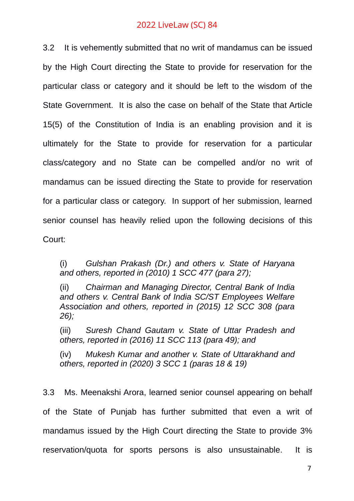3.2 It is vehemently submitted that no writ of mandamus can be issued by the High Court directing the State to provide for reservation for the particular class or category and it should be left to the wisdom of the State Government. It is also the case on behalf of the State that Article 15(5) of the Constitution of India is an enabling provision and it is ultimately for the State to provide for reservation for a particular class/category and no State can be compelled and/or no writ of mandamus can be issued directing the State to provide for reservation for a particular class or category. In support of her submission, learned senior counsel has heavily relied upon the following decisions of this Court:

(i) *Gulshan Prakash (Dr.) and others v. State of Haryana and others, reported in (2010) 1 SCC 477 (para 27);*

(ii) *Chairman and Managing Director, Central Bank of India and others v. Central Bank of India SC/ST Employees Welfare Association and others, reported in (2015) 12 SCC 308 (para 26);*

(iii) *Suresh Chand Gautam v. State of Uttar Pradesh and others, reported in (2016) 11 SCC 113 (para 49); and*

(iv) *Mukesh Kumar and another v. State of Uttarakhand and others, reported in (2020) 3 SCC 1 (paras 18 & 19)*

3.3 Ms. Meenakshi Arora, learned senior counsel appearing on behalf of the State of Punjab has further submitted that even a writ of mandamus issued by the High Court directing the State to provide 3% reservation/quota for sports persons is also unsustainable. It is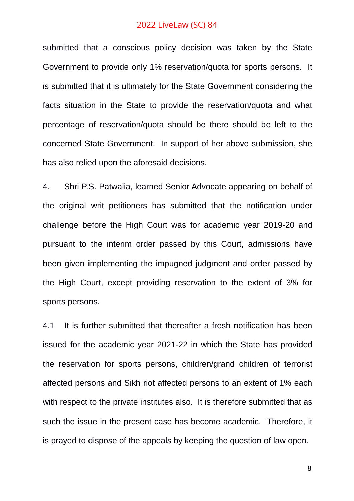submitted that a conscious policy decision was taken by the State Government to provide only 1% reservation/quota for sports persons. It is submitted that it is ultimately for the State Government considering the facts situation in the State to provide the reservation/quota and what percentage of reservation/quota should be there should be left to the concerned State Government. In support of her above submission, she has also relied upon the aforesaid decisions.

4. Shri P.S. Patwalia, learned Senior Advocate appearing on behalf of the original writ petitioners has submitted that the notification under challenge before the High Court was for academic year 2019-20 and pursuant to the interim order passed by this Court, admissions have been given implementing the impugned judgment and order passed by the High Court, except providing reservation to the extent of 3% for sports persons.

4.1 It is further submitted that thereafter a fresh notification has been issued for the academic year 2021-22 in which the State has provided the reservation for sports persons, children/grand children of terrorist affected persons and Sikh riot affected persons to an extent of 1% each with respect to the private institutes also. It is therefore submitted that as such the issue in the present case has become academic. Therefore, it is prayed to dispose of the appeals by keeping the question of law open.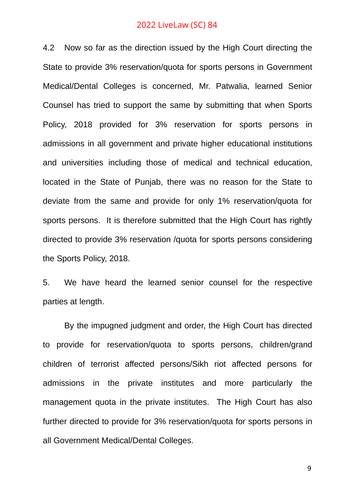4.2 Now so far as the direction issued by the High Court directing the State to provide 3% reservation/quota for sports persons in Government Medical/Dental Colleges is concerned, Mr. Patwalia, learned Senior Counsel has tried to support the same by submitting that when Sports Policy, 2018 provided for 3% reservation for sports persons in admissions in all government and private higher educational institutions and universities including those of medical and technical education, located in the State of Punjab, there was no reason for the State to deviate from the same and provide for only 1% reservation/quota for sports persons. It is therefore submitted that the High Court has rightly directed to provide 3% reservation /quota for sports persons considering the Sports Policy, 2018.

5. We have heard the learned senior counsel for the respective parties at length.

By the impugned judgment and order, the High Court has directed to provide for reservation/quota to sports persons, children/grand children of terrorist affected persons/Sikh riot affected persons for admissions in the private institutes and more particularly the management quota in the private institutes. The High Court has also further directed to provide for 3% reservation/quota for sports persons in all Government Medical/Dental Colleges.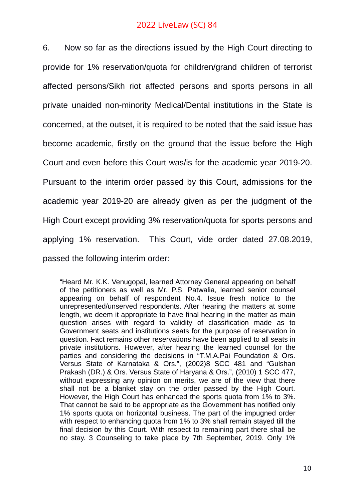6. Now so far as the directions issued by the High Court directing to provide for 1% reservation/quota for children/grand children of terrorist affected persons/Sikh riot affected persons and sports persons in all private unaided non-minority Medical/Dental institutions in the State is concerned, at the outset, it is required to be noted that the said issue has become academic, firstly on the ground that the issue before the High Court and even before this Court was/is for the academic year 2019-20. Pursuant to the interim order passed by this Court, admissions for the academic year 2019-20 are already given as per the judgment of the High Court except providing 3% reservation/quota for sports persons and applying 1% reservation. This Court, vide order dated 27.08.2019, passed the following interim order:

"Heard Mr. K.K. Venugopal, learned Attorney General appearing on behalf of the petitioners as well as Mr. P.S. Patwalia, learned senior counsel appearing on behalf of respondent No.4. Issue fresh notice to the unrepresented/unserved respondents. After hearing the matters at some length, we deem it appropriate to have final hearing in the matter as main question arises with regard to validity of classification made as to Government seats and institutions seats for the purpose of reservation in question. Fact remains other reservations have been applied to all seats in private institutions. However, after hearing the learned counsel for the parties and considering the decisions in "T.M.A.Pai Foundation & Ors. Versus State of Karnataka & Ors.", (2002)8 SCC 481 and "Gulshan Prakash (DR.) & Ors. Versus State of Haryana & Ors.", (2010) 1 SCC 477, without expressing any opinion on merits, we are of the view that there shall not be a blanket stay on the order passed by the High Court. However, the High Court has enhanced the sports quota from 1% to 3%. That cannot be said to be appropriate as the Government has notified only 1% sports quota on horizontal business. The part of the impugned order with respect to enhancing quota from 1% to 3% shall remain stayed till the final decision by this Court. With respect to remaining part there shall be no stay. 3 Counseling to take place by 7th September, 2019. Only 1%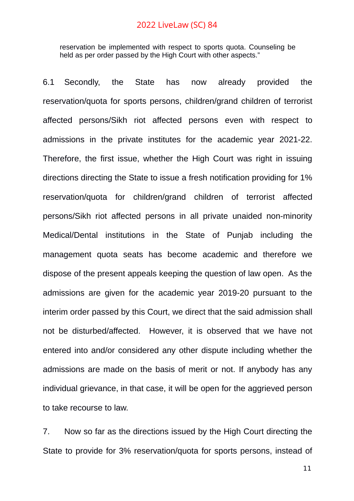reservation be implemented with respect to sports quota. Counseling be held as per order passed by the High Court with other aspects."

6.1 Secondly, the State has now already provided the reservation/quota for sports persons, children/grand children of terrorist affected persons/Sikh riot affected persons even with respect to admissions in the private institutes for the academic year 2021-22. Therefore, the first issue, whether the High Court was right in issuing directions directing the State to issue a fresh notification providing for 1% reservation/quota for children/grand children of terrorist affected persons/Sikh riot affected persons in all private unaided non-minority Medical/Dental institutions in the State of Punjab including the management quota seats has become academic and therefore we dispose of the present appeals keeping the question of law open. As the admissions are given for the academic year 2019-20 pursuant to the interim order passed by this Court, we direct that the said admission shall not be disturbed/affected. However, it is observed that we have not entered into and/or considered any other dispute including whether the admissions are made on the basis of merit or not. If anybody has any individual grievance, in that case, it will be open for the aggrieved person to take recourse to law.

7. Now so far as the directions issued by the High Court directing the State to provide for 3% reservation/quota for sports persons, instead of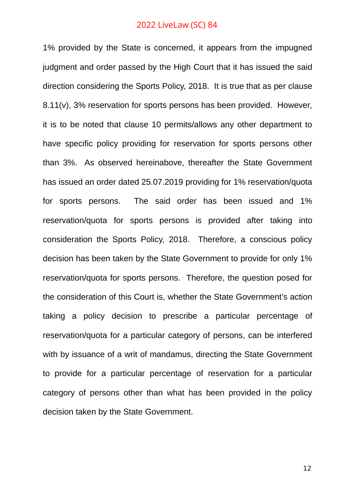1% provided by the State is concerned, it appears from the impugned judgment and order passed by the High Court that it has issued the said direction considering the Sports Policy, 2018. It is true that as per clause 8.11(v), 3% reservation for sports persons has been provided. However, it is to be noted that clause 10 permits/allows any other department to have specific policy providing for reservation for sports persons other than 3%. As observed hereinabove, thereafter the State Government has issued an order dated 25.07.2019 providing for 1% reservation/quota for sports persons. The said order has been issued and 1% reservation/quota for sports persons is provided after taking into consideration the Sports Policy, 2018. Therefore, a conscious policy decision has been taken by the State Government to provide for only 1% reservation/quota for sports persons. Therefore, the question posed for the consideration of this Court is, whether the State Government's action taking a policy decision to prescribe a particular percentage of reservation/quota for a particular category of persons, can be interfered with by issuance of a writ of mandamus, directing the State Government to provide for a particular percentage of reservation for a particular category of persons other than what has been provided in the policy decision taken by the State Government.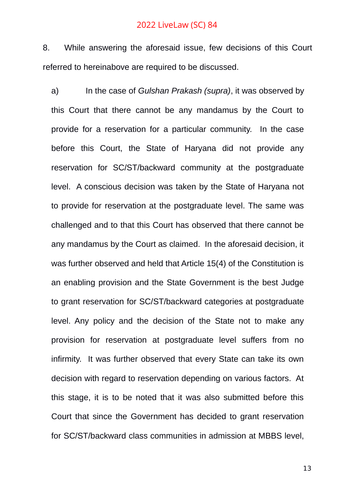8. While answering the aforesaid issue, few decisions of this Court referred to hereinabove are required to be discussed.

a) In the case of *Gulshan Prakash (supra)*, it was observed by this Court that there cannot be any mandamus by the Court to provide for a reservation for a particular community. In the case before this Court, the State of Haryana did not provide any reservation for SC/ST/backward community at the postgraduate level. A conscious decision was taken by the State of Haryana not to provide for reservation at the postgraduate level. The same was challenged and to that this Court has observed that there cannot be any mandamus by the Court as claimed. In the aforesaid decision, it was further observed and held that Article 15(4) of the Constitution is an enabling provision and the State Government is the best Judge to grant reservation for SC/ST/backward categories at postgraduate level. Any policy and the decision of the State not to make any provision for reservation at postgraduate level suffers from no infirmity. It was further observed that every State can take its own decision with regard to reservation depending on various factors. At this stage, it is to be noted that it was also submitted before this Court that since the Government has decided to grant reservation for SC/ST/backward class communities in admission at MBBS level,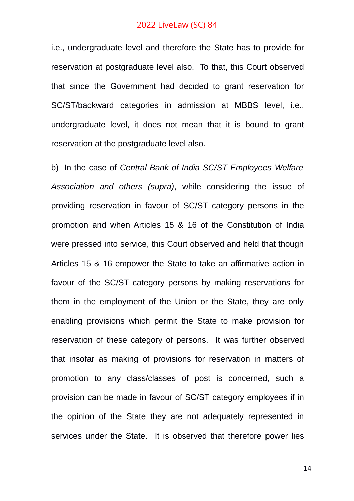i.e., undergraduate level and therefore the State has to provide for reservation at postgraduate level also. To that, this Court observed that since the Government had decided to grant reservation for SC/ST/backward categories in admission at MBBS level, i.e., undergraduate level, it does not mean that it is bound to grant reservation at the postgraduate level also.

b) In the case of *Central Bank of India SC/ST Employees Welfare Association and others (supra)*, while considering the issue of providing reservation in favour of SC/ST category persons in the promotion and when Articles 15 & 16 of the Constitution of India were pressed into service, this Court observed and held that though Articles 15 & 16 empower the State to take an affirmative action in favour of the SC/ST category persons by making reservations for them in the employment of the Union or the State, they are only enabling provisions which permit the State to make provision for reservation of these category of persons. It was further observed that insofar as making of provisions for reservation in matters of promotion to any class/classes of post is concerned, such a provision can be made in favour of SC/ST category employees if in the opinion of the State they are not adequately represented in services under the State. It is observed that therefore power lies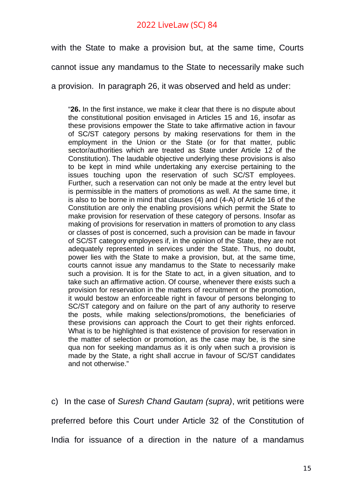with the State to make a provision but, at the same time, Courts

cannot issue any mandamus to the State to necessarily make such

a provision. In paragraph 26, it was observed and held as under:

"**26.** In the first instance, we make it clear that there is no dispute about the constitutional position envisaged in Articles 15 and 16, insofar as these provisions empower the State to take affirmative action in favour of SC/ST category persons by making reservations for them in the employment in the Union or the State (or for that matter, public sector/authorities which are treated as State under Article 12 of the Constitution). The laudable objective underlying these provisions is also to be kept in mind while undertaking any exercise pertaining to the issues touching upon the reservation of such SC/ST employees. Further, such a reservation can not only be made at the entry level but is permissible in the matters of promotions as well. At the same time, it is also to be borne in mind that clauses (4) and (4-A) of Article 16 of the Constitution are only the enabling provisions which permit the State to make provision for reservation of these category of persons. Insofar as making of provisions for reservation in matters of promotion to any class or classes of post is concerned, such a provision can be made in favour of SC/ST category employees if, in the opinion of the State, they are not adequately represented in services under the State. Thus, no doubt, power lies with the State to make a provision, but, at the same time, courts cannot issue any mandamus to the State to necessarily make such a provision. It is for the State to act, in a given situation, and to take such an affirmative action. Of course, whenever there exists such a provision for reservation in the matters of recruitment or the promotion, it would bestow an enforceable right in favour of persons belonging to SC/ST category and on failure on the part of any authority to reserve the posts, while making selections/promotions, the beneficiaries of these provisions can approach the Court to get their rights enforced. What is to be highlighted is that existence of provision for reservation in the matter of selection or promotion, as the case may be, is the sine qua non for seeking mandamus as it is only when such a provision is made by the State, a right shall accrue in favour of SC/ST candidates and not otherwise."

c) In the case of *Suresh Chand Gautam (supra)*, writ petitions were preferred before this Court under Article 32 of the Constitution of India for issuance of a direction in the nature of a mandamus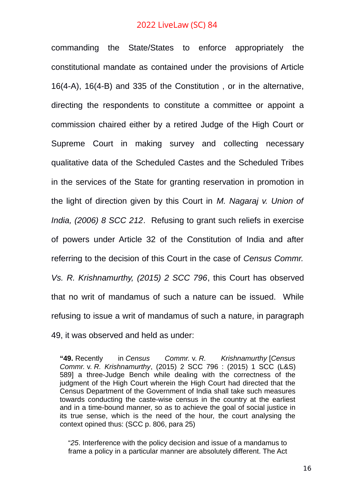commanding the State/States to enforce appropriately the constitutional mandate as contained under the provisions of Article 16(4-A), 16(4-B) and 335 of the Constitution , or in the alternative, directing the respondents to constitute a committee or appoint a commission chaired either by a retired Judge of the High Court or Supreme Court in making survey and collecting necessary qualitative data of the Scheduled Castes and the Scheduled Tribes in the services of the State for granting reservation in promotion in the light of direction given by this Court in *M. Nagaraj v. Union of India, (2006) 8 SCC 212*. Refusing to grant such reliefs in exercise of powers under Article 32 of the Constitution of India and after referring to the decision of this Court in the case of *Census Commr. Vs. R. Krishnamurthy, (2015) 2 SCC 796*, this Court has observed that no writ of mandamus of such a nature can be issued. While refusing to issue a writ of mandamus of such a nature, in paragraph 49, it was observed and held as under:

**"49.** Recently in *Census Commr.* v. *R. Krishnamurthy* [*Census Commr.* v. *R. Krishnamurthy*, (2015) 2 SCC 796 : (2015) 1 SCC (L&S) 589] a three-Judge Bench while dealing with the correctness of the judgment of the High Court wherein the High Court had directed that the Census Department of the Government of India shall take such measures towards conducting the caste-wise census in the country at the earliest and in a time-bound manner, so as to achieve the goal of social justice in its true sense, which is the need of the hour, the court analysing the context opined thus: (SCC p. 806, para 25)

"*25*. Interference with the policy decision and issue of a mandamus to frame a policy in a particular manner are absolutely different. The Act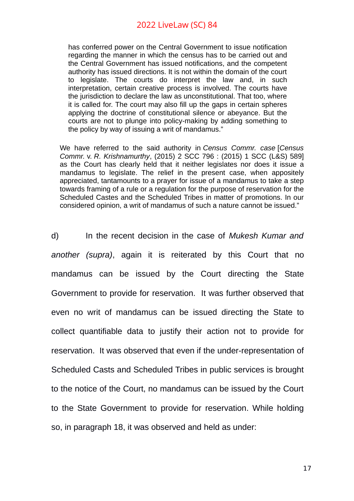has conferred power on the Central Government to issue notification regarding the manner in which the census has to be carried out and the Central Government has issued notifications, and the competent authority has issued directions. It is not within the domain of the court to legislate. The courts do interpret the law and, in such interpretation, certain creative process is involved. The courts have the jurisdiction to declare the law as unconstitutional. That too, where it is called for. The court may also fill up the gaps in certain spheres applying the doctrine of constitutional silence or abeyance. But the courts are not to plunge into policy-making by adding something to the policy by way of issuing a writ of mandamus."

We have referred to the said authority in *Census Commr. case* [*Census Commr.* v. *R. Krishnamurthy*, (2015) 2 SCC 796 : (2015) 1 SCC (L&S) 589] as the Court has clearly held that it neither legislates nor does it issue a mandamus to legislate. The relief in the present case, when appositely appreciated, tantamounts to a prayer for issue of a mandamus to take a step towards framing of a rule or a regulation for the purpose of reservation for the Scheduled Castes and the Scheduled Tribes in matter of promotions. In our considered opinion, a writ of mandamus of such a nature cannot be issued."

d) In the recent decision in the case of *Mukesh Kumar and another (supra)*, again it is reiterated by this Court that no mandamus can be issued by the Court directing the State Government to provide for reservation. It was further observed that even no writ of mandamus can be issued directing the State to collect quantifiable data to justify their action not to provide for reservation. It was observed that even if the under-representation of Scheduled Casts and Scheduled Tribes in public services is brought to the notice of the Court, no mandamus can be issued by the Court to the State Government to provide for reservation. While holding so, in paragraph 18, it was observed and held as under: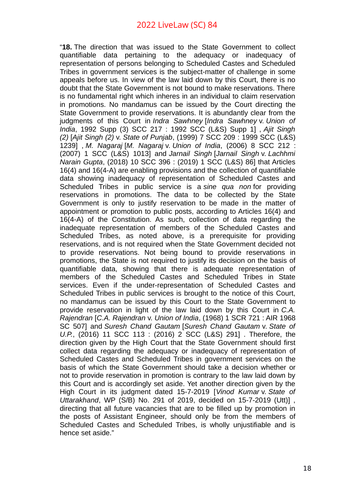"**18.** The direction that was issued to the State Government to collect quantifiable data pertaining to the adequacy or inadequacy of representation of persons belonging to Scheduled Castes and Scheduled Tribes in government services is the subject-matter of challenge in some appeals before us. In view of the law laid down by this Court, there is no doubt that the State Government is not bound to make reservations. There is no fundamental right which inheres in an individual to claim reservation in promotions. No mandamus can be issued by the Court directing the State Government to provide reservations. It is abundantly clear from the judgments of this Court in *Indra Sawhney* [*Indra Sawhney* v. *Union of India*, 1992 Supp (3) SCC 217 : 1992 SCC (L&S) Supp 1] , *Ajit Singh (2)* [*Ajit Singh (2)* v. *State of Punjab*, (1999) 7 SCC 209 : 1999 SCC (L&S) 1239] , *M. Nagaraj* [*M. Nagaraj* v. *Union of India*, (2006) 8 SCC 212 : (2007) 1 SCC (L&S) 1013] and *Jarnail Singh* [*Jarnail Singh* v. *Lachhmi Narain Gupta*, (2018) 10 SCC 396 : (2019) 1 SCC (L&S) 86] that Articles 16(4) and 16(4-A) are enabling provisions and the collection of quantifiable data showing inadequacy of representation of Scheduled Castes and Scheduled Tribes in public service is a *sine qua non* for providing reservations in promotions. The data to be collected by the State Government is only to justify reservation to be made in the matter of appointment or promotion to public posts, according to Articles 16(4) and 16(4-A) of the Constitution. As such, collection of data regarding the inadequate representation of members of the Scheduled Castes and Scheduled Tribes, as noted above, is a prerequisite for providing reservations, and is not required when the State Government decided not to provide reservations. Not being bound to provide reservations in promotions, the State is not required to justify its decision on the basis of quantifiable data, showing that there is adequate representation of members of the Scheduled Castes and Scheduled Tribes in State services. Even if the under-representation of Scheduled Castes and Scheduled Tribes in public services is brought to the notice of this Court, no mandamus can be issued by this Court to the State Government to provide reservation in light of the law laid down by this Court in *C.A. Rajendran* [*C.A. Rajendran* v. *Union of India*, (1968) 1 SCR 721 : AIR 1968 SC 507] and *Suresh Chand Gautam* [*Suresh Chand Gautam* v. *State of U.P.*, (2016) 11 SCC 113 : (2016) 2 SCC (L&S) 291] . Therefore, the direction given by the High Court that the State Government should first collect data regarding the adequacy or inadequacy of representation of Scheduled Castes and Scheduled Tribes in government services on the basis of which the State Government should take a decision whether or not to provide reservation in promotion is contrary to the law laid down by this Court and is accordingly set aside. Yet another direction given by the High Court in its judgment dated 15-7-2019 [*Vinod Kumar* v. *State of Uttarakhand*, WP (S/B) No. 291 of 2019, decided on 15-7-2019 (Utt)] , directing that all future vacancies that are to be filled up by promotion in the posts of Assistant Engineer, should only be from the members of Scheduled Castes and Scheduled Tribes, is wholly unjustifiable and is hence set aside."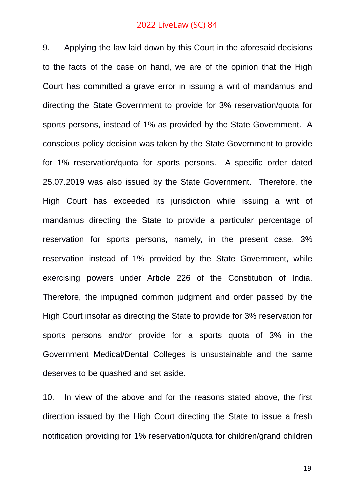9. Applying the law laid down by this Court in the aforesaid decisions to the facts of the case on hand, we are of the opinion that the High Court has committed a grave error in issuing a writ of mandamus and directing the State Government to provide for 3% reservation/quota for sports persons, instead of 1% as provided by the State Government. A conscious policy decision was taken by the State Government to provide for 1% reservation/quota for sports persons. A specific order dated 25.07.2019 was also issued by the State Government. Therefore, the High Court has exceeded its jurisdiction while issuing a writ of mandamus directing the State to provide a particular percentage of reservation for sports persons, namely, in the present case, 3% reservation instead of 1% provided by the State Government, while exercising powers under Article 226 of the Constitution of India. Therefore, the impugned common judgment and order passed by the High Court insofar as directing the State to provide for 3% reservation for sports persons and/or provide for a sports quota of 3% in the Government Medical/Dental Colleges is unsustainable and the same deserves to be quashed and set aside.

10. In view of the above and for the reasons stated above, the first direction issued by the High Court directing the State to issue a fresh notification providing for 1% reservation/quota for children/grand children